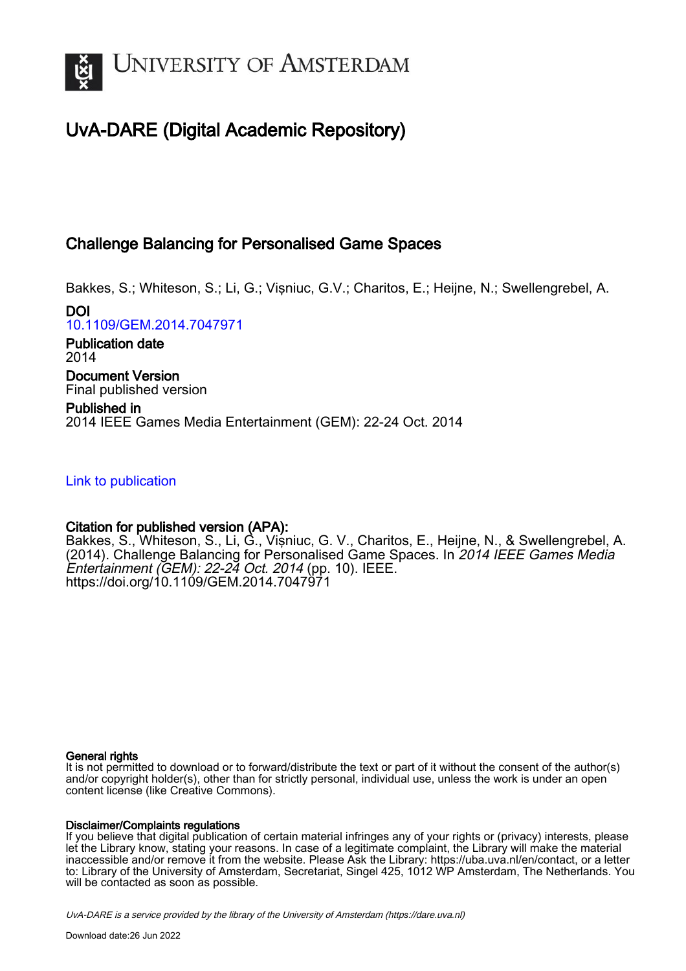

# UvA-DARE (Digital Academic Repository)

# Challenge Balancing for Personalised Game Spaces

Bakkes, S.; Whiteson, S.; Li, G.; Vişniuc, G.V.; Charitos, E.; Heijne, N.; Swellengrebel, A.

DOI [10.1109/GEM.2014.7047971](https://doi.org/10.1109/GEM.2014.7047971)

Publication date 2014

Document Version Final published version

Published in 2014 IEEE Games Media Entertainment (GEM): 22-24 Oct. 2014

[Link to publication](https://dare.uva.nl/personal/pure/en/publications/challenge-balancing-for-personalised-game-spaces(fbd6ff67-ac29-43a9-9d2d-0683ae6add1e).html)

## Citation for published version (APA):

Bakkes, S., Whiteson, S., Li, G., Vişniuc, G. V., Charitos, E., Heijne, N., & Swellengrebel, A. (2014). Challenge Balancing for Personalised Game Spaces. In 2014 IEEE Games Media Entertainment (GEM): 22-24 Oct. 2014 (pp. 10). IEEE. <https://doi.org/10.1109/GEM.2014.7047971>

### General rights

It is not permitted to download or to forward/distribute the text or part of it without the consent of the author(s) and/or copyright holder(s), other than for strictly personal, individual use, unless the work is under an open content license (like Creative Commons).

### Disclaimer/Complaints regulations

If you believe that digital publication of certain material infringes any of your rights or (privacy) interests, please let the Library know, stating your reasons. In case of a legitimate complaint, the Library will make the material inaccessible and/or remove it from the website. Please Ask the Library: https://uba.uva.nl/en/contact, or a letter to: Library of the University of Amsterdam, Secretariat, Singel 425, 1012 WP Amsterdam, The Netherlands. You will be contacted as soon as possible.

UvA-DARE is a service provided by the library of the University of Amsterdam (http*s*://dare.uva.nl)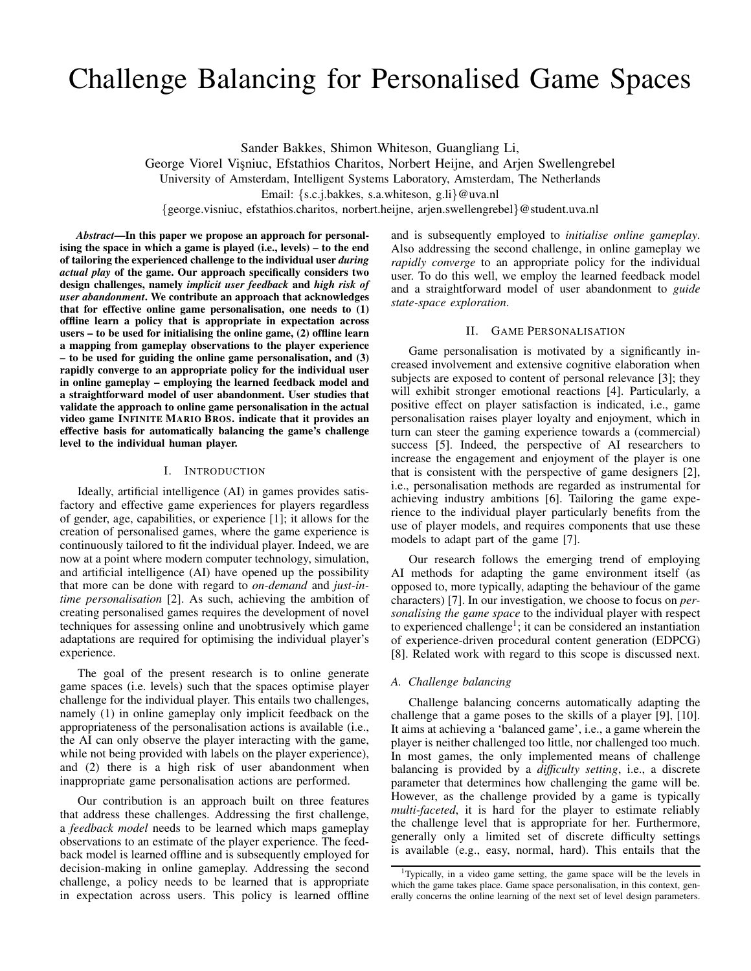# Challenge Balancing for Personalised Game Spaces

Sander Bakkes, Shimon Whiteson, Guangliang Li,

George Viorel Visniuc, Efstathios Charitos, Norbert Heijne, and Arjen Swellengrebel

University of Amsterdam, Intelligent Systems Laboratory, Amsterdam, The Netherlands

Email: {s.c.j.bakkes, s.a.whiteson, g.li}@uva.nl

{george.visniuc, efstathios.charitos, norbert.heijne, arjen.swellengrebel}@student.uva.nl

*Abstract*—In this paper we propose an approach for personalising the space in which a game is played (i.e., levels) – to the end of tailoring the experienced challenge to the individual user *during actual play* of the game. Our approach specifically considers two design challenges, namely *implicit user feedback* and *high risk of user abandonment*. We contribute an approach that acknowledges that for effective online game personalisation, one needs to (1) offline learn a policy that is appropriate in expectation across users – to be used for initialising the online game, (2) offline learn a mapping from gameplay observations to the player experience – to be used for guiding the online game personalisation, and (3) rapidly converge to an appropriate policy for the individual user in online gameplay – employing the learned feedback model and a straightforward model of user abandonment. User studies that validate the approach to online game personalisation in the actual video game INFINITE MARIO BROS. indicate that it provides an effective basis for automatically balancing the game's challenge level to the individual human player.

#### I. INTRODUCTION

Ideally, artificial intelligence (AI) in games provides satisfactory and effective game experiences for players regardless of gender, age, capabilities, or experience [1]; it allows for the creation of personalised games, where the game experience is continuously tailored to fit the individual player. Indeed, we are now at a point where modern computer technology, simulation, and artificial intelligence (AI) have opened up the possibility that more can be done with regard to *on-demand* and *just-intime personalisation* [2]. As such, achieving the ambition of creating personalised games requires the development of novel techniques for assessing online and unobtrusively which game adaptations are required for optimising the individual player's experience.

The goal of the present research is to online generate game spaces (i.e. levels) such that the spaces optimise player challenge for the individual player. This entails two challenges, namely (1) in online gameplay only implicit feedback on the appropriateness of the personalisation actions is available (i.e., the AI can only observe the player interacting with the game, while not being provided with labels on the player experience), and (2) there is a high risk of user abandonment when inappropriate game personalisation actions are performed.

Our contribution is an approach built on three features that address these challenges. Addressing the first challenge, a *feedback model* needs to be learned which maps gameplay observations to an estimate of the player experience. The feedback model is learned offline and is subsequently employed for decision-making in online gameplay. Addressing the second challenge, a policy needs to be learned that is appropriate in expectation across users. This policy is learned offline and is subsequently employed to *initialise online gameplay*. Also addressing the second challenge, in online gameplay we *rapidly converge* to an appropriate policy for the individual user. To do this well, we employ the learned feedback model and a straightforward model of user abandonment to *guide state-space exploration*.

#### II. GAME PERSONALISATION

Game personalisation is motivated by a significantly increased involvement and extensive cognitive elaboration when subjects are exposed to content of personal relevance [3]; they will exhibit stronger emotional reactions [4]. Particularly, a positive effect on player satisfaction is indicated, i.e., game personalisation raises player loyalty and enjoyment, which in turn can steer the gaming experience towards a (commercial) success [5]. Indeed, the perspective of AI researchers to increase the engagement and enjoyment of the player is one that is consistent with the perspective of game designers [2], i.e., personalisation methods are regarded as instrumental for achieving industry ambitions [6]. Tailoring the game experience to the individual player particularly benefits from the use of player models, and requires components that use these models to adapt part of the game [7].

Our research follows the emerging trend of employing AI methods for adapting the game environment itself (as opposed to, more typically, adapting the behaviour of the game characters) [7]. In our investigation, we choose to focus on *personalising the game space* to the individual player with respect to experienced challenge<sup>1</sup>; it can be considered an instantiation of experience-driven procedural content generation (EDPCG) [8]. Related work with regard to this scope is discussed next.

#### *A. Challenge balancing*

Challenge balancing concerns automatically adapting the challenge that a game poses to the skills of a player [9], [10]. It aims at achieving a 'balanced game', i.e., a game wherein the player is neither challenged too little, nor challenged too much. In most games, the only implemented means of challenge balancing is provided by a *difficulty setting*, i.e., a discrete parameter that determines how challenging the game will be. However, as the challenge provided by a game is typically *multi-faceted*, it is hard for the player to estimate reliably the challenge level that is appropriate for her. Furthermore, generally only a limited set of discrete difficulty settings is available (e.g., easy, normal, hard). This entails that the

<sup>1</sup>Typically, in a video game setting, the game space will be the levels in which the game takes place. Game space personalisation, in this context, generally concerns the online learning of the next set of level design parameters.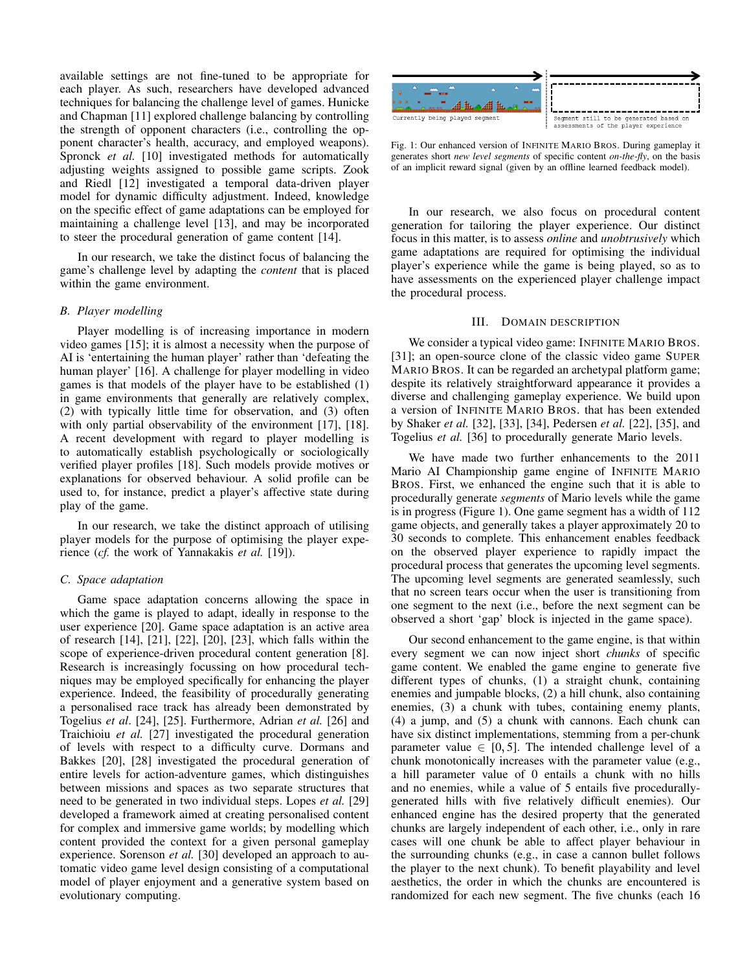available settings are not fine-tuned to be appropriate for each player. As such, researchers have developed advanced techniques for balancing the challenge level of games. Hunicke and Chapman [11] explored challenge balancing by controlling the strength of opponent characters (i.e., controlling the opponent character's health, accuracy, and employed weapons). Spronck *et al.* [10] investigated methods for automatically adjusting weights assigned to possible game scripts. Zook and Riedl [12] investigated a temporal data-driven player model for dynamic difficulty adjustment. Indeed, knowledge on the specific effect of game adaptations can be employed for maintaining a challenge level [13], and may be incorporated to steer the procedural generation of game content [14].

In our research, we take the distinct focus of balancing the game's challenge level by adapting the *content* that is placed within the game environment.

#### *B. Player modelling*

Player modelling is of increasing importance in modern video games [15]; it is almost a necessity when the purpose of AI is 'entertaining the human player' rather than 'defeating the human player' [16]. A challenge for player modelling in video games is that models of the player have to be established (1) in game environments that generally are relatively complex, (2) with typically little time for observation, and (3) often with only partial observability of the environment [17], [18]. A recent development with regard to player modelling is to automatically establish psychologically or sociologically verified player profiles [18]. Such models provide motives or explanations for observed behaviour. A solid profile can be used to, for instance, predict a player's affective state during play of the game.

In our research, we take the distinct approach of utilising player models for the purpose of optimising the player experience (*cf.* the work of Yannakakis *et al.* [19]).

#### *C. Space adaptation*

Game space adaptation concerns allowing the space in which the game is played to adapt, ideally in response to the user experience [20]. Game space adaptation is an active area of research [14], [21], [22], [20], [23], which falls within the scope of experience-driven procedural content generation [8]. Research is increasingly focussing on how procedural techniques may be employed specifically for enhancing the player experience. Indeed, the feasibility of procedurally generating a personalised race track has already been demonstrated by Togelius *et al*. [24], [25]. Furthermore, Adrian *et al.* [26] and Traichioiu *et al.* [27] investigated the procedural generation of levels with respect to a difficulty curve. Dormans and Bakkes [20], [28] investigated the procedural generation of entire levels for action-adventure games, which distinguishes between missions and spaces as two separate structures that need to be generated in two individual steps. Lopes *et al.* [29] developed a framework aimed at creating personalised content for complex and immersive game worlds; by modelling which content provided the context for a given personal gameplay experience. Sorenson *et al.* [30] developed an approach to automatic video game level design consisting of a computational model of player enjoyment and a generative system based on evolutionary computing.



Fig. 1: Our enhanced version of INFINITE MARIO BROS. During gameplay it generates short *new level segments* of specific content *on-the-fly*, on the basis of an implicit reward signal (given by an offline learned feedback model).

In our research, we also focus on procedural content generation for tailoring the player experience. Our distinct focus in this matter, is to assess *online* and *unobtrusively* which game adaptations are required for optimising the individual player's experience while the game is being played, so as to have assessments on the experienced player challenge impact the procedural process.

#### III. DOMAIN DESCRIPTION

We consider a typical video game: INFINITE MARIO BROS. [31]; an open-source clone of the classic video game SUPER MARIO BROS. It can be regarded an archetypal platform game; despite its relatively straightforward appearance it provides a diverse and challenging gameplay experience. We build upon a version of INFINITE MARIO BROS. that has been extended by Shaker *et al.* [32], [33], [34], Pedersen *et al.* [22], [35], and Togelius *et al.* [36] to procedurally generate Mario levels.

We have made two further enhancements to the 2011 Mario AI Championship game engine of INFINITE MARIO BROS. First, we enhanced the engine such that it is able to procedurally generate *segments* of Mario levels while the game is in progress (Figure 1). One game segment has a width of 112 game objects, and generally takes a player approximately 20 to 30 seconds to complete. This enhancement enables feedback on the observed player experience to rapidly impact the procedural process that generates the upcoming level segments. The upcoming level segments are generated seamlessly, such that no screen tears occur when the user is transitioning from one segment to the next (i.e., before the next segment can be observed a short 'gap' block is injected in the game space).

Our second enhancement to the game engine, is that within every segment we can now inject short *chunks* of specific game content. We enabled the game engine to generate five different types of chunks, (1) a straight chunk, containing enemies and jumpable blocks, (2) a hill chunk, also containing enemies, (3) a chunk with tubes, containing enemy plants, (4) a jump, and (5) a chunk with cannons. Each chunk can have six distinct implementations, stemming from a per-chunk parameter value  $\in$  [0, 5]. The intended challenge level of a chunk monotonically increases with the parameter value (e.g., a hill parameter value of 0 entails a chunk with no hills and no enemies, while a value of 5 entails five procedurallygenerated hills with five relatively difficult enemies). Our enhanced engine has the desired property that the generated chunks are largely independent of each other, i.e., only in rare cases will one chunk be able to affect player behaviour in the surrounding chunks (e.g., in case a cannon bullet follows the player to the next chunk). To benefit playability and level aesthetics, the order in which the chunks are encountered is randomized for each new segment. The five chunks (each 16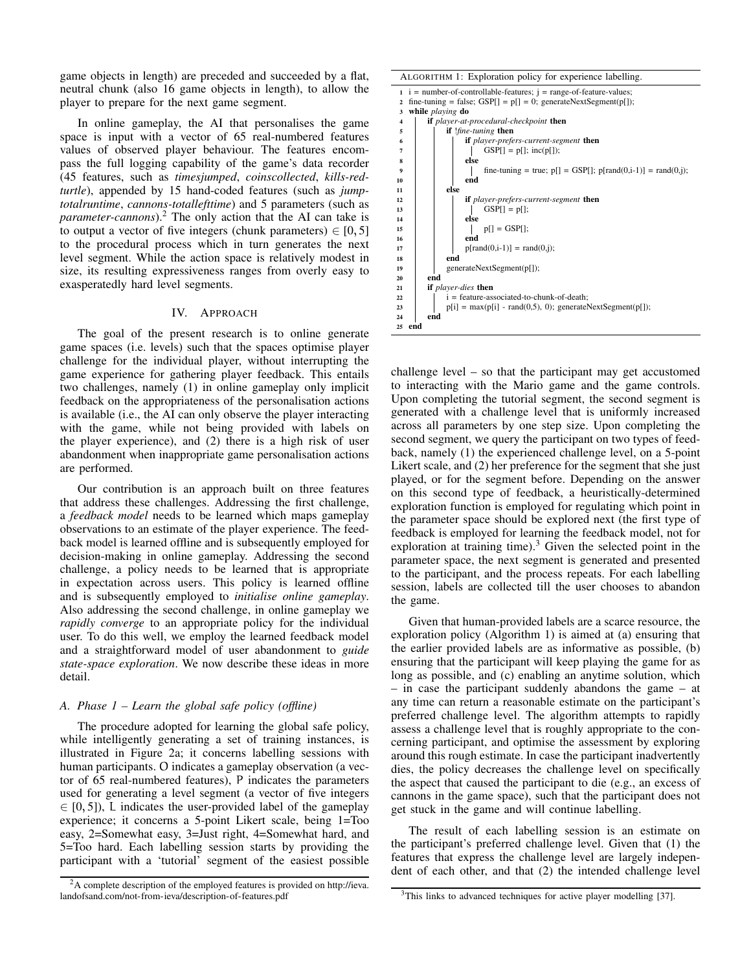game objects in length) are preceded and succeeded by a flat, neutral chunk (also 16 game objects in length), to allow the player to prepare for the next game segment.

In online gameplay, the AI that personalises the game space is input with a vector of 65 real-numbered features values of observed player behaviour. The features encompass the full logging capability of the game's data recorder (45 features, such as *timesjumped*, *coinscollected*, *kills-redturtle*), appended by 15 hand-coded features (such as *jumptotalruntime*, *cannons-totallefttime*) and 5 parameters (such as *parameter-cannons*).<sup>2</sup> The only action that the AI can take is to output a vector of five integers (chunk parameters)  $\in [0, 5]$ to the procedural process which in turn generates the next level segment. While the action space is relatively modest in size, its resulting expressiveness ranges from overly easy to exasperatedly hard level segments.

#### IV. APPROACH

The goal of the present research is to online generate game spaces (i.e. levels) such that the spaces optimise player challenge for the individual player, without interrupting the game experience for gathering player feedback. This entails two challenges, namely (1) in online gameplay only implicit feedback on the appropriateness of the personalisation actions is available (i.e., the AI can only observe the player interacting with the game, while not being provided with labels on the player experience), and (2) there is a high risk of user abandonment when inappropriate game personalisation actions are performed.

Our contribution is an approach built on three features that address these challenges. Addressing the first challenge, a *feedback model* needs to be learned which maps gameplay observations to an estimate of the player experience. The feedback model is learned offline and is subsequently employed for decision-making in online gameplay. Addressing the second challenge, a policy needs to be learned that is appropriate in expectation across users. This policy is learned offline and is subsequently employed to *initialise online gameplay*. Also addressing the second challenge, in online gameplay we *rapidly converge* to an appropriate policy for the individual user. To do this well, we employ the learned feedback model and a straightforward model of user abandonment to *guide state-space exploration*. We now describe these ideas in more detail.

#### *A. Phase 1 – Learn the global safe policy (offline)*

The procedure adopted for learning the global safe policy, while intelligently generating a set of training instances, is illustrated in Figure 2a; it concerns labelling sessions with human participants. O indicates a gameplay observation (a vector of 65 real-numbered features), P indicates the parameters used for generating a level segment (a vector of five integers  $\in [0, 5]$ ), L indicates the user-provided label of the gameplay experience; it concerns a 5-point Likert scale, being 1=Too easy, 2=Somewhat easy, 3=Just right, 4=Somewhat hard, and 5=Too hard. Each labelling session starts by providing the participant with a 'tutorial' segment of the easiest possible

```
ALGORITHM 1: Exploration policy for experience labelling.
 1 i = number-of-controllable-features; j = range-of-feature-values;
 2 fine-tuning = false; GSP[] = p[] = 0; generateNextSegment(p[]);
 3 while playing do
4 if player-at-procedural-checkpoint then
5 if !fine-tuning then
6 if player-prefers-current-segment then
7 GSP[] = p[]; inc(p[]);
                               8 else
9 \parallel fine-tuning = true; p[] = GSP[]; p[rand(0,i-1)] = rand(0,j);<br>10
                               end
\begin{array}{c|c|c|c} 11 & \text{else} \end{array}12 if player-prefers-current-segment then
13 | | | GSP[] = p[];14 | | | else
\begin{array}{c|c} \n\text{15} \\
\text{16} \\
\end{array} | \begin{array}{c} \n\end{array} | \begin{array}{c} \n\end{array} | \begin{array}{c} \n\end{array} | \begin{array}{c} \n\end{array} | \begin{array}{c} \n\end{array} | \begin{array}{c} \n\end{array} | \begin{array}{c} \n\end{array} | \begin{array}{c} \n\end{array} | \begin{array}{c} \n\end{array} | \begin{array}{c} \n\end{array}\begin{array}{c|c|c|c} \n\text{16} & \text{end} \\
\hline\n\text{17} & \text{18} \\
\hline\n\end{array}p[rand(0,i-1)] = rand(0,j);\begin{array}{c|c} 18 \\ 19 \end{array} end \begin{array}{c|c} \text{end}19 \Big| generateNextSegment(p[]);<br>20 end
20 end<br>
21 if p
21 if player-dies then<br>\begin{vmatrix} i & j \\ j & k \end{vmatrix} i = feature-ass
                      i = feature-associated-to-chunk-of-death;
23 \left| \begin{array}{c} | \quad p[i] = \max(p[i] - \text{rand}(0,5), 0); \text{ generateNextSegment}(p[]); \\ \text{end} \end{array} \right|end
25 end
```
challenge level – so that the participant may get accustomed to interacting with the Mario game and the game controls. Upon completing the tutorial segment, the second segment is generated with a challenge level that is uniformly increased across all parameters by one step size. Upon completing the second segment, we query the participant on two types of feedback, namely (1) the experienced challenge level, on a 5-point Likert scale, and (2) her preference for the segment that she just played, or for the segment before. Depending on the answer on this second type of feedback, a heuristically-determined exploration function is employed for regulating which point in the parameter space should be explored next (the first type of feedback is employed for learning the feedback model, not for exploration at training time). $3$  Given the selected point in the parameter space, the next segment is generated and presented to the participant, and the process repeats. For each labelling session, labels are collected till the user chooses to abandon the game.

Given that human-provided labels are a scarce resource, the exploration policy (Algorithm 1) is aimed at (a) ensuring that the earlier provided labels are as informative as possible, (b) ensuring that the participant will keep playing the game for as long as possible, and (c) enabling an anytime solution, which – in case the participant suddenly abandons the game – at any time can return a reasonable estimate on the participant's preferred challenge level. The algorithm attempts to rapidly assess a challenge level that is roughly appropriate to the concerning participant, and optimise the assessment by exploring around this rough estimate. In case the participant inadvertently dies, the policy decreases the challenge level on specifically the aspect that caused the participant to die (e.g., an excess of cannons in the game space), such that the participant does not get stuck in the game and will continue labelling.

The result of each labelling session is an estimate on the participant's preferred challenge level. Given that (1) the features that express the challenge level are largely independent of each other, and that (2) the intended challenge level

<sup>&</sup>lt;sup>2</sup>A complete description of the employed features is provided on http://ieva. landofsand.com/not-from-ieva/description-of-features.pdf

<sup>&</sup>lt;sup>3</sup>This links to advanced techniques for active player modelling [37].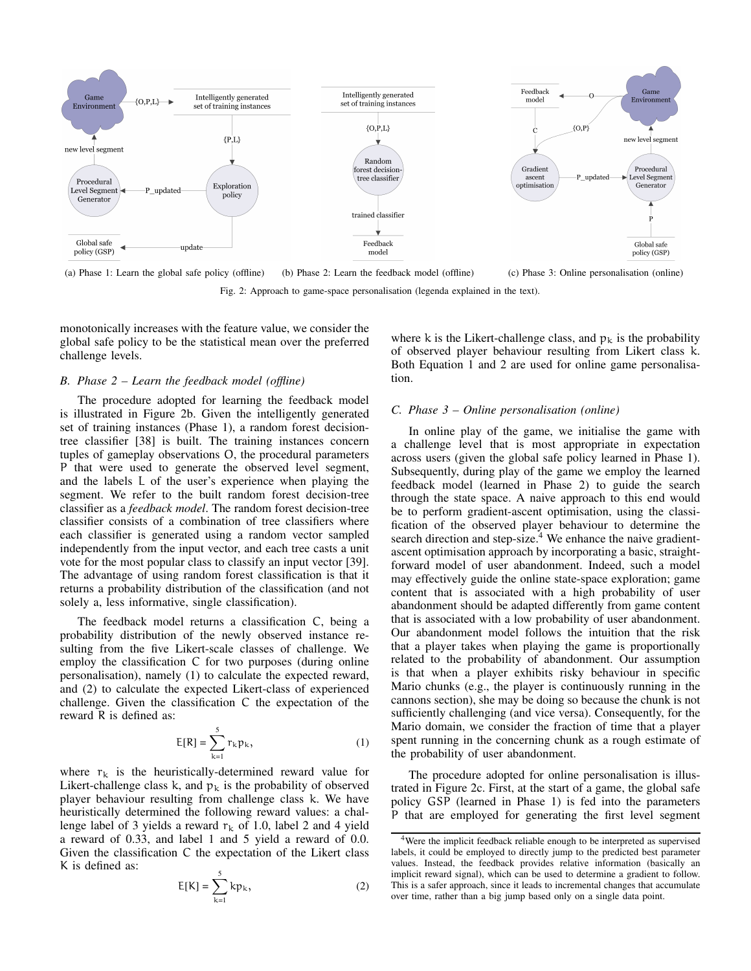

Fig. 2: Approach to game-space personalisation (legenda explained in the text).

monotonically increases with the feature value, we consider the global safe policy to be the statistical mean over the preferred challenge levels.

#### *B. Phase 2 – Learn the feedback model (offline)*

The procedure adopted for learning the feedback model is illustrated in Figure 2b. Given the intelligently generated set of training instances (Phase 1), a random forest decisiontree classifier [38] is built. The training instances concern tuples of gameplay observations O, the procedural parameters P that were used to generate the observed level segment, and the labels L of the user's experience when playing the segment. We refer to the built random forest decision-tree classifier as a *feedback model*. The random forest decision-tree classifier consists of a combination of tree classifiers where each classifier is generated using a random vector sampled independently from the input vector, and each tree casts a unit vote for the most popular class to classify an input vector [39]. The advantage of using random forest classification is that it returns a probability distribution of the classification (and not solely a, less informative, single classification).

The feedback model returns a classification C, being a probability distribution of the newly observed instance resulting from the five Likert-scale classes of challenge. We employ the classification C for two purposes (during online personalisation), namely (1) to calculate the expected reward, and (2) to calculate the expected Likert-class of experienced challenge. Given the classification C the expectation of the reward R is defined as:

$$
E[R] = \sum_{k=1}^{5} r_k p_k, \qquad (1)
$$

where  $r_k$  is the heuristically-determined reward value for Likert-challenge class k, and  $p_k$  is the probability of observed player behaviour resulting from challenge class k. We have heuristically determined the following reward values: a challenge label of 3 yields a reward  $r_k$  of 1.0, label 2 and 4 yield a reward of 0.33, and label 1 and 5 yield a reward of 0.0. Given the classification C the expectation of the Likert class K is defined as:

$$
E[K] = \sum_{k=1}^{5} k p_k,
$$
 (2)

where k is the Likert-challenge class, and  $p_k$  is the probability of observed player behaviour resulting from Likert class k. Both Equation 1 and 2 are used for online game personalisation.

#### *C. Phase 3 – Online personalisation (online)*

In online play of the game, we initialise the game with a challenge level that is most appropriate in expectation across users (given the global safe policy learned in Phase 1). Subsequently, during play of the game we employ the learned feedback model (learned in Phase 2) to guide the search through the state space. A naive approach to this end would be to perform gradient-ascent optimisation, using the classification of the observed player behaviour to determine the search direction and step-size.<sup>4</sup> We enhance the naive gradientascent optimisation approach by incorporating a basic, straightforward model of user abandonment. Indeed, such a model may effectively guide the online state-space exploration; game content that is associated with a high probability of user abandonment should be adapted differently from game content that is associated with a low probability of user abandonment. Our abandonment model follows the intuition that the risk that a player takes when playing the game is proportionally related to the probability of abandonment. Our assumption is that when a player exhibits risky behaviour in specific Mario chunks (e.g., the player is continuously running in the cannons section), she may be doing so because the chunk is not sufficiently challenging (and vice versa). Consequently, for the Mario domain, we consider the fraction of time that a player spent running in the concerning chunk as a rough estimate of the probability of user abandonment.

The procedure adopted for online personalisation is illustrated in Figure 2c. First, at the start of a game, the global safe policy GSP (learned in Phase 1) is fed into the parameters P that are employed for generating the first level segment

<sup>4</sup>Were the implicit feedback reliable enough to be interpreted as supervised labels, it could be employed to directly jump to the predicted best parameter values. Instead, the feedback provides relative information (basically an implicit reward signal), which can be used to determine a gradient to follow. This is a safer approach, since it leads to incremental changes that accumulate over time, rather than a big jump based only on a single data point.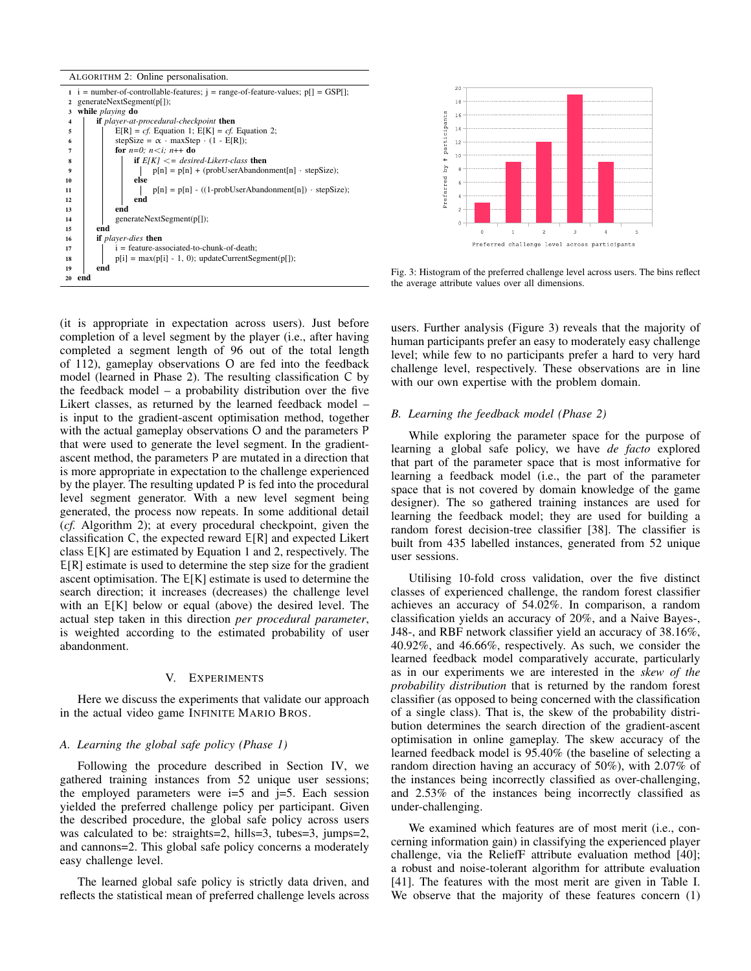ALGORITHM 2: Online personalisation.

|                | $i =$ number-of-controllable-features; $j =$ range-of-feature-values; $p[i] = GSP[i]$ ; |
|----------------|-----------------------------------------------------------------------------------------|
| 2              | generateNextSegment(p[]);                                                               |
| 3              | while <i>playing</i> do                                                                 |
| 4              | <b>if</b> player-at-procedural-checkpoint <b>then</b>                                   |
| 5              | $E[R] = cf.$ Equation 1; $E[K] = cf.$ Equation 2;                                       |
| 6              | stepSize = $\alpha$ maxStep · (1 - E[R]);                                               |
| $\overline{7}$ | for $n=0$ ; $n; n++ do$                                                                 |
| 8              | <b>if</b> $E[K] \leq$ = desired-Likert-class <b>then</b>                                |
| 9              | $p[n] = p[n] + (probUserAbandoment[n] \cdot stepSize);$                                 |
| 10             | else                                                                                    |
| 11             | $p[n] = p[n] - ((1-probUserAbandoment[n]) \cdot stepSize);$                             |
| 12             | end                                                                                     |
| 13             | end                                                                                     |
| 14             | generateNextSegment(p[]);                                                               |
| 15             | end                                                                                     |
| 16             | <b>if</b> player-dies <b>then</b>                                                       |
| 17             | $i =$ feature-associated-to-chunk-of-death;                                             |
| 18             | $p[i] = max(p[i] - 1, 0)$ ; updateCurrentSegment(p[1);                                  |
| 19             | end                                                                                     |
| 20             | end                                                                                     |

(it is appropriate in expectation across users). Just before completion of a level segment by the player (i.e., after having completed a segment length of 96 out of the total length of 112), gameplay observations O are fed into the feedback model (learned in Phase 2). The resulting classification C by the feedback model – a probability distribution over the five Likert classes, as returned by the learned feedback model – is input to the gradient-ascent optimisation method, together with the actual gameplay observations O and the parameters P that were used to generate the level segment. In the gradientascent method, the parameters P are mutated in a direction that is more appropriate in expectation to the challenge experienced by the player. The resulting updated P is fed into the procedural level segment generator. With a new level segment being generated, the process now repeats. In some additional detail (*cf.* Algorithm 2); at every procedural checkpoint, given the classification C, the expected reward E[R] and expected Likert class E[K] are estimated by Equation 1 and 2, respectively. The E[R] estimate is used to determine the step size for the gradient ascent optimisation. The E[K] estimate is used to determine the search direction; it increases (decreases) the challenge level with an E[K] below or equal (above) the desired level. The actual step taken in this direction *per procedural parameter*, is weighted according to the estimated probability of user abandonment.

#### V. EXPERIMENTS

Here we discuss the experiments that validate our approach in the actual video game INFINITE MARIO BROS.

#### *A. Learning the global safe policy (Phase 1)*

Following the procedure described in Section IV, we gathered training instances from 52 unique user sessions; the employed parameters were  $i=5$  and  $j=5$ . Each session yielded the preferred challenge policy per participant. Given the described procedure, the global safe policy across users was calculated to be: straights=2, hills=3, tubes=3, jumps=2, and cannons=2. This global safe policy concerns a moderately easy challenge level.

The learned global safe policy is strictly data driven, and reflects the statistical mean of preferred challenge levels across



Fig. 3: Histogram of the preferred challenge level across users. The bins reflect the average attribute values over all dimensions.

users. Further analysis (Figure 3) reveals that the majority of human participants prefer an easy to moderately easy challenge level; while few to no participants prefer a hard to very hard challenge level, respectively. These observations are in line with our own expertise with the problem domain.

#### *B. Learning the feedback model (Phase 2)*

While exploring the parameter space for the purpose of learning a global safe policy, we have *de facto* explored that part of the parameter space that is most informative for learning a feedback model (i.e., the part of the parameter space that is not covered by domain knowledge of the game designer). The so gathered training instances are used for learning the feedback model; they are used for building a random forest decision-tree classifier [38]. The classifier is built from 435 labelled instances, generated from 52 unique user sessions.

Utilising 10-fold cross validation, over the five distinct classes of experienced challenge, the random forest classifier achieves an accuracy of 54.02%. In comparison, a random classification yields an accuracy of 20%, and a Naive Bayes-, J48-, and RBF network classifier yield an accuracy of 38.16%, 40.92%, and 46.66%, respectively. As such, we consider the learned feedback model comparatively accurate, particularly as in our experiments we are interested in the *skew of the probability distribution* that is returned by the random forest classifier (as opposed to being concerned with the classification of a single class). That is, the skew of the probability distribution determines the search direction of the gradient-ascent optimisation in online gameplay. The skew accuracy of the learned feedback model is 95.40% (the baseline of selecting a random direction having an accuracy of 50%), with 2.07% of the instances being incorrectly classified as over-challenging, and 2.53% of the instances being incorrectly classified as under-challenging.

We examined which features are of most merit (i.e., concerning information gain) in classifying the experienced player challenge, via the ReliefF attribute evaluation method [40]; a robust and noise-tolerant algorithm for attribute evaluation [41]. The features with the most merit are given in Table I. We observe that the majority of these features concern (1)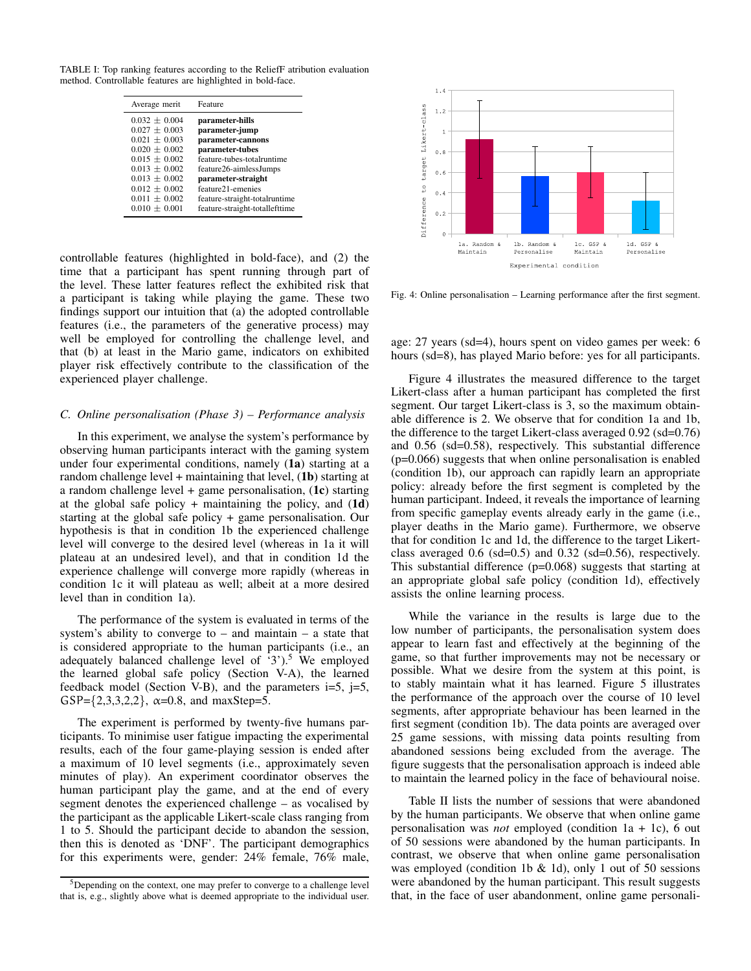TABLE I: Top ranking features according to the ReliefF atribution evaluation method. Controllable features are highlighted in bold-face.

| Average merit     | Feature                        |
|-------------------|--------------------------------|
| $0.032 + 0.004$   | parameter-hills                |
| $0.027 + 0.003$   | parameter-jump                 |
| $0.021 + 0.003$   | parameter-cannons              |
| $0.020 + 0.002$   | parameter-tubes                |
| $0.015 + 0.002$   | feature-tubes-totalruntime     |
| $0.013 + 0.002$   | feature26-aimlessJumps         |
| $0.013 + 0.002$   | parameter-straight             |
| $0.012 + 0.002$   | feature <sub>21-emenies</sub>  |
| $0.011 + 0.002$   | feature-straight-totalruntime  |
| $0.010 \pm 0.001$ | feature-straight-totallefttime |

controllable features (highlighted in bold-face), and (2) the time that a participant has spent running through part of the level. These latter features reflect the exhibited risk that a participant is taking while playing the game. These two findings support our intuition that (a) the adopted controllable features (i.e., the parameters of the generative process) may well be employed for controlling the challenge level, and that (b) at least in the Mario game, indicators on exhibited player risk effectively contribute to the classification of the experienced player challenge.

#### *C. Online personalisation (Phase 3) – Performance analysis*

In this experiment, we analyse the system's performance by observing human participants interact with the gaming system under four experimental conditions, namely (1a) starting at a random challenge level  $+$  maintaining that level,  $(1b)$  starting at a random challenge level  $+$  game personalisation,  $(1c)$  starting at the global safe policy  $+$  maintaining the policy, and  $(1d)$ starting at the global safe policy + game personalisation. Our hypothesis is that in condition 1b the experienced challenge level will converge to the desired level (whereas in 1a it will plateau at an undesired level), and that in condition 1d the experience challenge will converge more rapidly (whereas in condition 1c it will plateau as well; albeit at a more desired level than in condition 1a).

The performance of the system is evaluated in terms of the system's ability to converge to  $-$  and maintain  $-$  a state that is considered appropriate to the human participants (i.e., an adequately balanced challenge level of '3').<sup>5</sup> We employed the learned global safe policy (Section V-A), the learned feedback model (Section V-B), and the parameters i=5, j=5, GSP= $\{2,3,3,2,2\}$ ,  $\alpha$ =0.8, and maxStep=5.

The experiment is performed by twenty-five humans participants. To minimise user fatigue impacting the experimental results, each of the four game-playing session is ended after a maximum of 10 level segments (i.e., approximately seven minutes of play). An experiment coordinator observes the human participant play the game, and at the end of every segment denotes the experienced challenge – as vocalised by the participant as the applicable Likert-scale class ranging from 1 to 5. Should the participant decide to abandon the session, then this is denoted as 'DNF'. The participant demographics for this experiments were, gender: 24% female, 76% male,



Fig. 4: Online personalisation – Learning performance after the first segment.

age: 27 years (sd=4), hours spent on video games per week: 6 hours (sd=8), has played Mario before: yes for all participants.

Figure 4 illustrates the measured difference to the target Likert-class after a human participant has completed the first segment. Our target Likert-class is 3, so the maximum obtainable difference is 2. We observe that for condition 1a and 1b, the difference to the target Likert-class averaged 0.92 (sd=0.76) and 0.56 (sd=0.58), respectively. This substantial difference (p=0.066) suggests that when online personalisation is enabled (condition 1b), our approach can rapidly learn an appropriate policy: already before the first segment is completed by the human participant. Indeed, it reveals the importance of learning from specific gameplay events already early in the game (i.e., player deaths in the Mario game). Furthermore, we observe that for condition 1c and 1d, the difference to the target Likertclass averaged 0.6 (sd=0.5) and 0.32 (sd=0.56), respectively. This substantial difference (p=0.068) suggests that starting at an appropriate global safe policy (condition 1d), effectively assists the online learning process.

While the variance in the results is large due to the low number of participants, the personalisation system does appear to learn fast and effectively at the beginning of the game, so that further improvements may not be necessary or possible. What we desire from the system at this point, is to stably maintain what it has learned. Figure 5 illustrates the performance of the approach over the course of 10 level segments, after appropriate behaviour has been learned in the first segment (condition 1b). The data points are averaged over 25 game sessions, with missing data points resulting from abandoned sessions being excluded from the average. The figure suggests that the personalisation approach is indeed able to maintain the learned policy in the face of behavioural noise.

Table II lists the number of sessions that were abandoned by the human participants. We observe that when online game personalisation was *not* employed (condition 1a + 1c), 6 out of 50 sessions were abandoned by the human participants. In contrast, we observe that when online game personalisation was employed (condition 1b & 1d), only 1 out of 50 sessions were abandoned by the human participant. This result suggests that, in the face of user abandonment, online game personali-

<sup>5</sup>Depending on the context, one may prefer to converge to a challenge level that is, e.g., slightly above what is deemed appropriate to the individual user.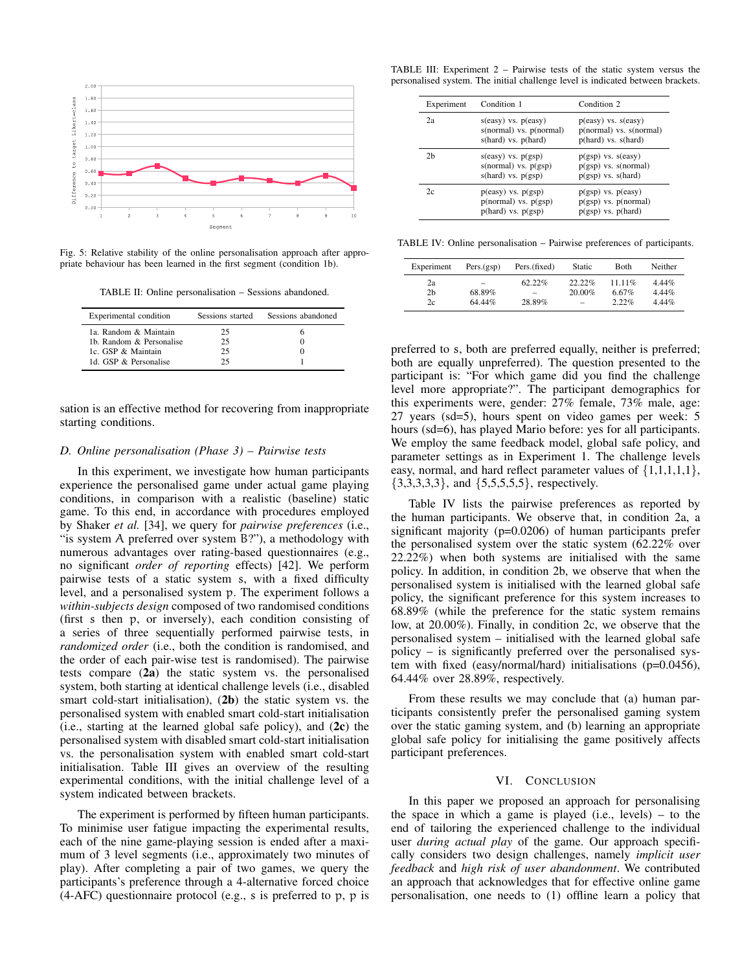

Fig. 5: Relative stability of the online personalisation approach after appropriate behaviour has been learned in the first segment (condition 1b).

TABLE II: Online personalisation – Sessions abandoned.

| Experimental condition                            | Sessions started | Sessions abandoned |
|---------------------------------------------------|------------------|--------------------|
| 1a. Random & Maintain<br>1b. Random & Personalise | 25<br>25         |                    |
| 1c. GSP & Maintain<br>1d. GSP & Personalise       | 25<br>25         |                    |

sation is an effective method for recovering from inappropriate starting conditions.

#### *D. Online personalisation (Phase 3) – Pairwise tests*

In this experiment, we investigate how human participants experience the personalised game under actual game playing conditions, in comparison with a realistic (baseline) static game. To this end, in accordance with procedures employed by Shaker *et al.* [34], we query for *pairwise preferences* (i.e., "is system A preferred over system B?"), a methodology with numerous advantages over rating-based questionnaires (e.g., no significant *order of reporting* effects) [42]. We perform pairwise tests of a static system s, with a fixed difficulty level, and a personalised system p. The experiment follows a *within-subjects design* composed of two randomised conditions (first s then p, or inversely), each condition consisting of a series of three sequentially performed pairwise tests, in *randomized order* (i.e., both the condition is randomised, and the order of each pair-wise test is randomised). The pairwise tests compare (2a) the static system vs. the personalised system, both starting at identical challenge levels (i.e., disabled smart cold-start initialisation), (2b) the static system vs. the personalised system with enabled smart cold-start initialisation  $(i.e., starting at the learned global safe policy), and  $(2c)$  the$ personalised system with disabled smart cold-start initialisation vs. the personalisation system with enabled smart cold-start initialisation. Table III gives an overview of the resulting experimental conditions, with the initial challenge level of a system indicated between brackets.

The experiment is performed by fifteen human participants. To minimise user fatigue impacting the experimental results, each of the nine game-playing session is ended after a maximum of 3 level segments (i.e., approximately two minutes of play). After completing a pair of two games, we query the participants's preference through a 4-alternative forced choice  $(4-AFC)$  questionnaire protocol (e.g., s is preferred to p, p is

TABLE III: Experiment 2 – Pairwise tests of the static system versus the personalised system. The initial challenge level is indicated between brackets.

| Experiment     | Condition 1                                                                     | Condition 2                                                                   |
|----------------|---------------------------------------------------------------------------------|-------------------------------------------------------------------------------|
| 2a             | $s(exy)$ vs. $p(exy)$<br>$s(normal)$ vs. $p(normal)$<br>$s(hard)$ vs. $p(hard)$ | $p(easy)$ vs. $s(easy)$<br>$p(normal)$ vs. $s(normal)$<br>p(hard) vs. s(hard) |
| 2 <sub>b</sub> | $s(exy)$ vs. $p(gsp)$<br>s(normal) vs. p(gsp)<br>$s(hard)$ vs. $p(gsp)$         | $p(gsp)$ vs. $s(easy)$<br>$p(gsp)$ vs. s(normal)<br>$p(gsp)$ vs. s(hard)      |
| 2c             | $p(easy)$ vs. $p(gsp)$<br>$p(normal)$ vs. $p(gsp)$<br>$p(hard)$ vs. $p(gsp)$    | $p(gsp)$ vs. $p(easy)$<br>$p(gsp)$ vs. $p(normal)$<br>$p(gsp)$ vs. $p(hard)$  |

TABLE IV: Online personalisation – Pairwise preferences of participants.

| Experiment     | Pers(gsp) | Pers.(fixed)             | <b>Static</b>            | <b>Both</b> | Neither  |
|----------------|-----------|--------------------------|--------------------------|-------------|----------|
| 2a             | $\equiv$  | $62.22\%$                | 22.22%                   | $11.11\%$   | $4.44\%$ |
| 2 <sub>b</sub> | 68.89%    | $\overline{\phantom{0}}$ | 20.00%                   | 6.67%       | $4.44\%$ |
| 2c             | 64.44%    | 28.89%                   | $\overline{\phantom{0}}$ | 2.22%       | $4.44\%$ |

preferred to s, both are preferred equally, neither is preferred; both are equally unpreferred). The question presented to the participant is: "For which game did you find the challenge level more appropriate?". The participant demographics for this experiments were, gender: 27% female, 73% male, age: 27 years (sd=5), hours spent on video games per week: 5 hours (sd=6), has played Mario before: yes for all participants. We employ the same feedback model, global safe policy, and parameter settings as in Experiment 1. The challenge levels easy, normal, and hard reflect parameter values of  $\{1,1,1,1,1\}$ ,  $\{3,3,3,3,3\}$ , and  $\{5,5,5,5,5\}$ , respectively.

Table IV lists the pairwise preferences as reported by the human participants. We observe that, in condition 2a, a significant majority (p=0.0206) of human participants prefer the personalised system over the static system (62.22% over 22.22%) when both systems are initialised with the same policy. In addition, in condition 2b, we observe that when the personalised system is initialised with the learned global safe policy, the significant preference for this system increases to 68.89% (while the preference for the static system remains low, at 20.00%). Finally, in condition 2c, we observe that the personalised system – initialised with the learned global safe policy – is significantly preferred over the personalised system with fixed (easy/normal/hard) initialisations (p=0.0456), 64.44% over 28.89%, respectively.

From these results we may conclude that (a) human participants consistently prefer the personalised gaming system over the static gaming system, and (b) learning an appropriate global safe policy for initialising the game positively affects participant preferences.

#### VI. CONCLUSION

In this paper we proposed an approach for personalising the space in which a game is played (i.e., levels) – to the end of tailoring the experienced challenge to the individual user *during actual play* of the game. Our approach specifically considers two design challenges, namely *implicit user feedback* and *high risk of user abandonment*. We contributed an approach that acknowledges that for effective online game personalisation, one needs to (1) offline learn a policy that